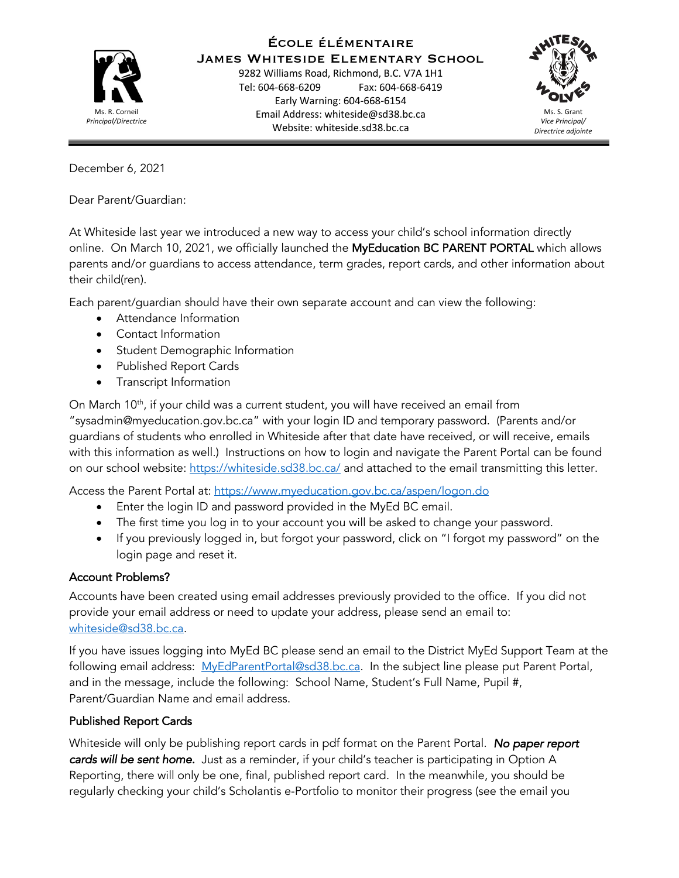

## École élémentaire James Whiteside Elementary School

9282 Williams Road, Richmond, B.C. V7A 1H1 Tel: 604-668-6209 Fax: 604-668-6419 Early Warning: 604-668-6154 Email Address: whiteside@sd38.bc.ca Website: whiteside.sd38.bc.ca



Ms. S. Grant *Vice Principal/ Directrice adjointe*

December 6, 2021

Dear Parent/Guardian:

At Whiteside last year we introduced a new way to access your child's school information directly online. On March 10, 2021, we officially launched the MyEducation BC PARENT PORTAL which allows parents and/or guardians to access attendance, term grades, report cards, and other information about their child(ren).

Each parent/guardian should have their own separate account and can view the following:

- Attendance Information
- Contact Information
- Student Demographic Information
- Published Report Cards
- Transcript Information

On March 10<sup>th</sup>, if your child was a current student, you will have received an email from "sysadmin@myeducation.gov.bc.ca" with your login ID and temporary password. (Parents and/or guardians of students who enrolled in Whiteside after that date have received, or will receive, emails with this information as well.) Instructions on how to login and navigate the Parent Portal can be found on our school website: https://whiteside.sd38.bc.ca/ and attached to the email transmitting this letter.

Access the Parent Portal at: https://www.myeducation.gov.bc.ca/aspen/logon.do

- Enter the login ID and password provided in the MyEd BC email.
- The first time you log in to your account you will be asked to change your password.
- If you previously logged in, but forgot your password, click on "I forgot my password" on the login page and reset it.

## Account Problems?

Accounts have been created using email addresses previously provided to the office. If you did not provide your email address or need to update your address, please send an email to: whiteside@sd38.bc.ca.

If you have issues logging into MyEd BC please send an email to the District MyEd Support Team at the following email address: MyEdParentPortal@sd38.bc.ca. In the subject line please put Parent Portal, and in the message, include the following: School Name, Student's Full Name, Pupil #, Parent/Guardian Name and email address.

## Published Report Cards

Whiteside will only be publishing report cards in pdf format on the Parent Portal. *No paper report cards will be sent home.* Just as a reminder, if your child's teacher is participating in Option A Reporting, there will only be one, final, published report card. In the meanwhile, you should be regularly checking your child's Scholantis e-Portfolio to monitor their progress (see the email you